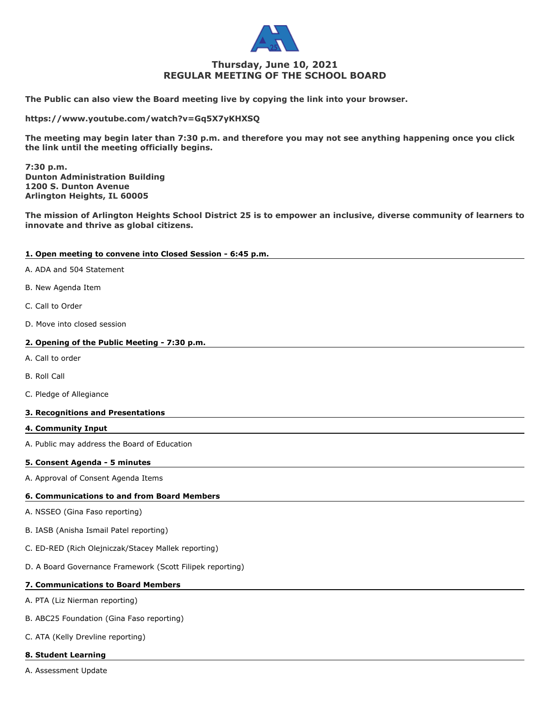

# **Thursday, June 10, 2021 REGULAR MEETING OF THE SCHOOL BOARD**

**The Public can also view the Board meeting live by copying the link into your browser.**

**https://www.youtube.com/watch?v=Gq5X7yKHXSQ**

**The meeting may begin later than 7:30 p.m. and therefore you may not see anything happening once you click the link until the meeting officially begins.**

**7:30 p.m. Dunton Administration Building 1200 S. Dunton Avenue Arlington Heights, IL 60005**

**The mission of Arlington Heights School District 25 is to empower an inclusive, diverse community of learners to innovate and thrive as global citizens.**

# **1. Open meeting to convene into Closed Session - 6:45 p.m.**

- A. ADA and 504 Statement
- B. New Agenda Item
- C. Call to Order
- D. Move into closed session

# **2. Opening of the Public Meeting - 7:30 p.m.**

- A. Call to order
- B. Roll Call
- C. Pledge of Allegiance

# **3. Recognitions and Presentations**

**4. Community Input**

A. Public may address the Board of Education

# **5. Consent Agenda - 5 minutes**

A. Approval of Consent Agenda Items

# **6. Communications to and from Board Members**

- A. NSSEO (Gina Faso reporting)
- B. IASB (Anisha Ismail Patel reporting)
- C. ED-RED (Rich Olejniczak/Stacey Mallek reporting)
- D. A Board Governance Framework (Scott Filipek reporting)

# **7. Communications to Board Members**

A. PTA (Liz Nierman reporting)

- B. ABC25 Foundation (Gina Faso reporting)
- C. ATA (Kelly Drevline reporting)

# **8. Student Learning**

A. Assessment Update